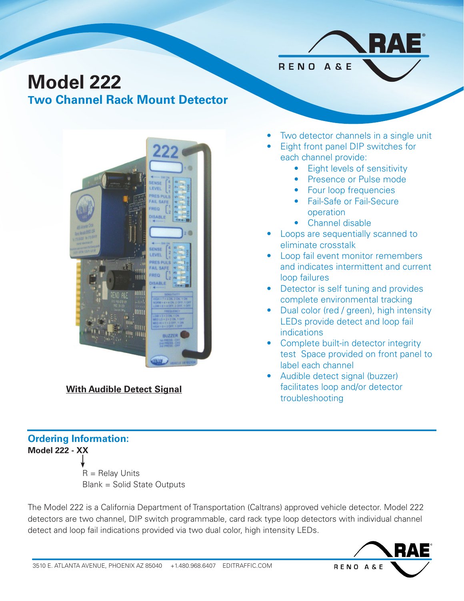# **Model 222**

**Two Channel Rack Mount Detector**



**With Audible Detect Signal**

### **Ordering Information: Model 222 - XX**

 $R =$  Relay Units Blank = Solid State Outputs

The Model 222 is a California Department of Transportation (Caltrans) approved vehicle detector. Model 222 detectors are two channel, DIP switch programmable, card rack type loop detectors with individual channel detect and loop fail indications provided via two dual color, high intensity LEDs.



• Two detector channels in a single unit

®

• Eight front panel DIP switches for each channel provide:

RENO A&E

- Eight levels of sensitivity
- Presence or Pulse mode
- Four loop frequencies
- Fail-Safe or Fail-Secure operation
- Channel disable
- Loops are sequentially scanned to eliminate crosstalk
- Loop fail event monitor remembers and indicates intermittent and current loop failures
- Detector is self tuning and provides complete environmental tracking
- Dual color (red / green), high intensity LEDs provide detect and loop fail indications
- Complete built-in detector integrity test Space provided on front panel to label each channel
- Audible detect signal (buzzer) facilitates loop and/or detector troubleshooting